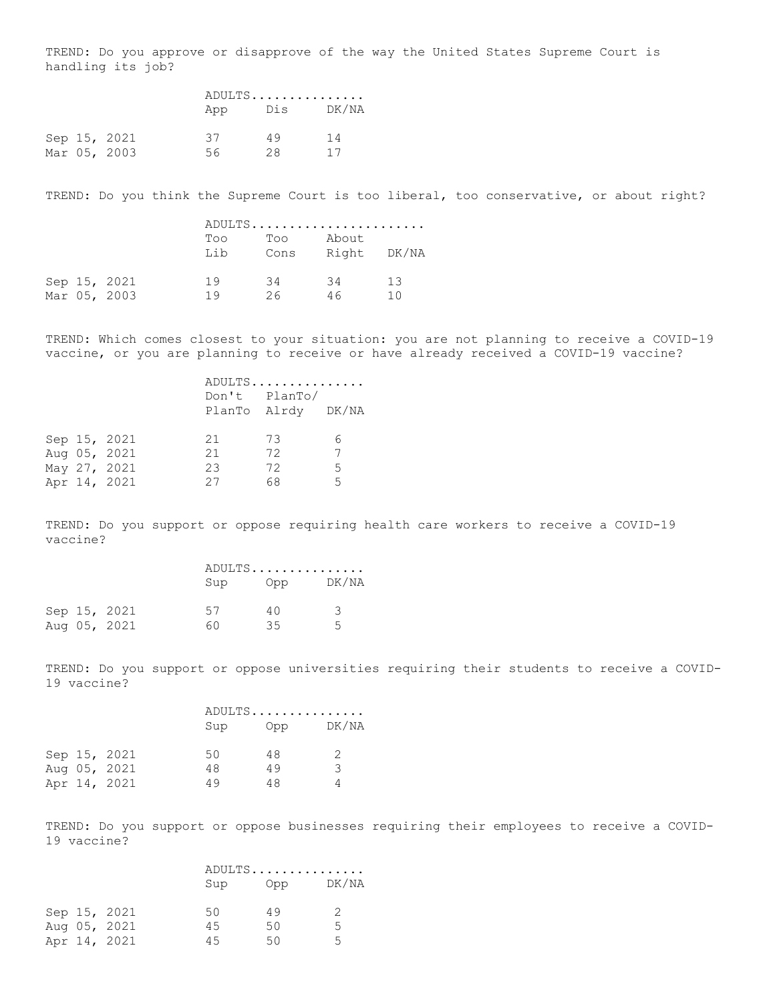TREND: Do you approve or disapprove of the way the United States Supreme Court is handling its job?

|  |              |     | ADULTS |           |  |
|--|--------------|-----|--------|-----------|--|
|  |              | App |        | Dis DK/NA |  |
|  | Sep 15, 2021 | 37  | 49     | 14        |  |
|  | Mar 05, 2003 | 56. | 28.    | 17        |  |

TREND: Do you think the Supreme Court is too liberal, too conservative, or about right?

|  |                              |            |             | ADULTS               |           |
|--|------------------------------|------------|-------------|----------------------|-----------|
|  |                              | Too<br>Lib | Too<br>Cons | About<br>Right DK/NA |           |
|  | Sep 15, 2021<br>Mar 05, 2003 | 19<br>1 Q  | -34<br>26.  | 34<br>46             | 13<br>1 N |

TREND: Which comes closest to your situation: you are not planning to receive a COVID-19 vaccine, or you are planning to receive or have already received a COVID-19 vaccine?

|  |              |               | ADULTS             |    |
|--|--------------|---------------|--------------------|----|
|  |              | Don't PlanTo/ |                    |    |
|  |              |               | PlanTo Alrdy DK/NA |    |
|  |              |               |                    |    |
|  | Sep 15, 2021 | 21            | - 73               | 6  |
|  | Aug 05, 2021 | 21            | 72                 | 7  |
|  | May 27, 2021 | 23            | 72                 | -5 |
|  | Apr 14, 2021 | 27            | 68                 | 5  |

TREND: Do you support or oppose requiring health care workers to receive a COVID-19 vaccine?

|  |              |     | ADULTS |                |  |
|--|--------------|-----|--------|----------------|--|
|  |              | Sup |        | Opp DK/NA      |  |
|  | Sep 15, 2021 | 57  | 4 N    | २              |  |
|  | Aug 05, 2021 | 60. | 35     | $\overline{a}$ |  |

TREND: Do you support or oppose universities requiring their students to receive a COVID-19 vaccine?

|  |              | ADULTS |     |       |
|--|--------------|--------|-----|-------|
|  |              | Sup    | Opp | DK/NA |
|  | Sep 15, 2021 | 50     | 48  |       |
|  | Aug 05, 2021 | 48     | 49  | 3     |
|  | Apr 14, 2021 | 49     | 48  |       |

TREND: Do you support or oppose businesses requiring their employees to receive a COVID-19 vaccine?

|  |              |     | ADULTS |       |  |
|--|--------------|-----|--------|-------|--|
|  |              | Sup | Opp    | DK/NA |  |
|  | Sep 15, 2021 | 50  | 49     |       |  |
|  | Aug 05, 2021 | 45  | 50     | 5     |  |
|  | Apr 14, 2021 | 4.5 | 50.    | 5     |  |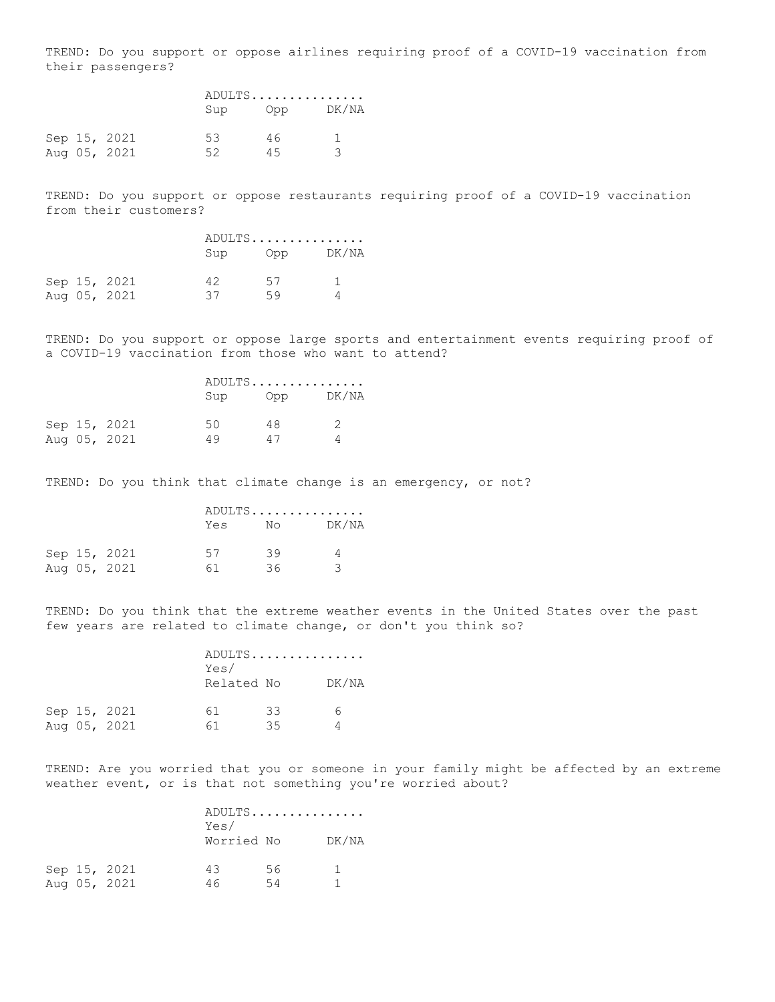TREND: Do you support or oppose airlines requiring proof of a COVID-19 vaccination from their passengers?

|  |              |     | ADULTS |           |  |
|--|--------------|-----|--------|-----------|--|
|  |              | Sup |        | Opp DK/NA |  |
|  | Sep 15, 2021 | 53. | 46.    |           |  |
|  | Aug 05, 2021 | 52  | 45     |           |  |

TREND: Do you support or oppose restaurants requiring proof of a COVID-19 vaccination from their customers?

|  |              |     | ADULTS |       |  |
|--|--------------|-----|--------|-------|--|
|  |              | Sup | Opp    | DK/NA |  |
|  | Sep 15, 2021 | 42  | 57     |       |  |
|  | Aug 05, 2021 | 37  | 59     |       |  |

TREND: Do you support or oppose large sports and entertainment events requiring proof of a COVID-19 vaccination from those who want to attend?

|  |              |    | ADULTS |              |  |
|--|--------------|----|--------|--------------|--|
|  |              |    | Sup    | DK/NA<br>Opp |  |
|  | Sep 15, 2021 | 50 | 48     | 2            |  |
|  | Aug 05, 2021 | 49 | 47     |              |  |

TREND: Do you think that climate change is an emergency, or not?

|  |              |     | ADULTS                                                                                                                                                                                                                          |       |  |
|--|--------------|-----|---------------------------------------------------------------------------------------------------------------------------------------------------------------------------------------------------------------------------------|-------|--|
|  |              | Yes | Noted the North State of the North State of the North State of the North State of the North State of the North State of the North State of the North State of the North State of the North State of the North State of the Nort | DK/NA |  |
|  | Sep 15, 2021 | 57  | 39                                                                                                                                                                                                                              | 4     |  |
|  | Aug 05, 2021 | 61. | 36.                                                                                                                                                                                                                             | ₹     |  |

TREND: Do you think that the extreme weather events in the United States over the past few years are related to climate change, or don't you think so?

|  |                              | Yes/<br>Related No |          | ADULTS | DK/NA |  |
|--|------------------------------|--------------------|----------|--------|-------|--|
|  | Sep 15, 2021<br>Aug 05, 2021 | 61<br>61           | 33<br>35 |        |       |  |

TREND: Are you worried that you or someone in your family might be affected by an extreme weather event, or is that not something you're worried about?

|  |              | Yes/       |    | ADULTS |
|--|--------------|------------|----|--------|
|  |              |            |    |        |
|  |              | Worried No |    | DK/NA  |
|  |              |            |    |        |
|  | Sep 15, 2021 | 43         | 56 |        |
|  | Aug 05, 2021 | 46         | 54 |        |